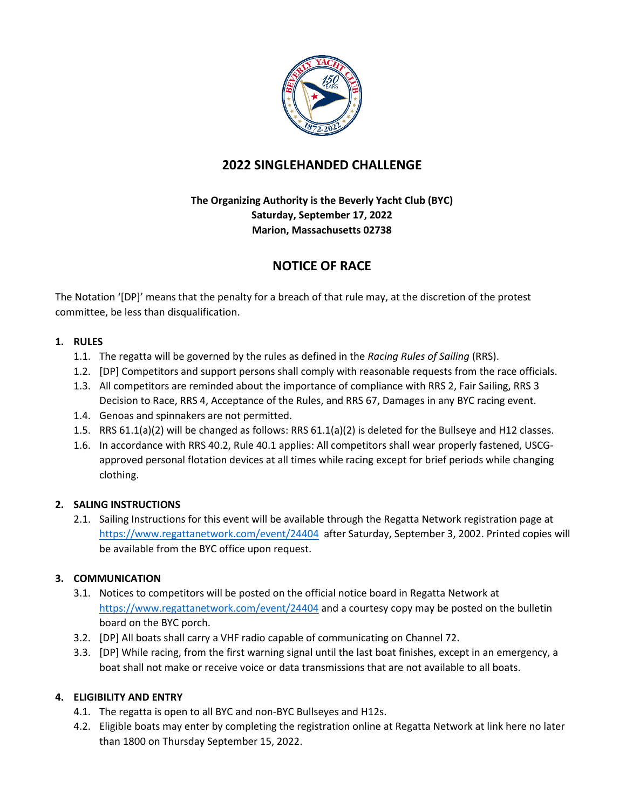

# **2022 SINGLEHANDED CHALLENGE**

## **The Organizing Authority is the Beverly Yacht Club (BYC) Saturday, September 17, 2022 Marion, Massachusetts 02738**

# **NOTICE OF RACE**

The Notation '[DP]' means that the penalty for a breach of that rule may, at the discretion of the protest committee, be less than disqualification.

### **1. RULES**

- 1.1. The regatta will be governed by the rules as defined in the *Racing Rules of Sailing* (RRS).
- 1.2. [DP] Competitors and support persons shall comply with reasonable requests from the race officials.
- 1.3. All competitors are reminded about the importance of compliance with RRS 2, Fair Sailing, RRS 3 Decision to Race, RRS 4, Acceptance of the Rules, and RRS 67, Damages in any BYC racing event.
- 1.4. Genoas and spinnakers are not permitted.
- 1.5. RRS 61.1(a)(2) will be changed as follows: RRS 61.1(a)(2) is deleted for the Bullseye and H12 classes.
- 1.6. In accordance with RRS 40.2, Rule 40.1 applies: All competitors shall wear properly fastened, USCGapproved personal flotation devices at all times while racing except for brief periods while changing clothing.

### **2. SALING INSTRUCTIONS**

2.1. Sailing Instructions for this event will be available through the Regatta Network registration page at <https://www.regattanetwork.com/event/24404>after Saturday, September 3, 2002. Printed copies will be available from the BYC office upon request.

### **3. COMMUNICATION**

- 3.1. Notices to competitors will be posted on the official notice board in Regatta Network at <https://www.regattanetwork.com/event/24404> and a courtesy copy may be posted on the bulletin board on the BYC porch.
- 3.2. [DP] All boats shall carry a VHF radio capable of communicating on Channel 72.
- 3.3. [DP] While racing, from the first warning signal until the last boat finishes, except in an emergency, a boat shall not make or receive voice or data transmissions that are not available to all boats.

### **4. ELIGIBILITY AND ENTRY**

- 4.1. The regatta is open to all BYC and non-BYC Bullseyes and H12s.
- 4.2. Eligible boats may enter by completing the registration online at Regatta Network at link here no later than 1800 on Thursday September 15, 2022.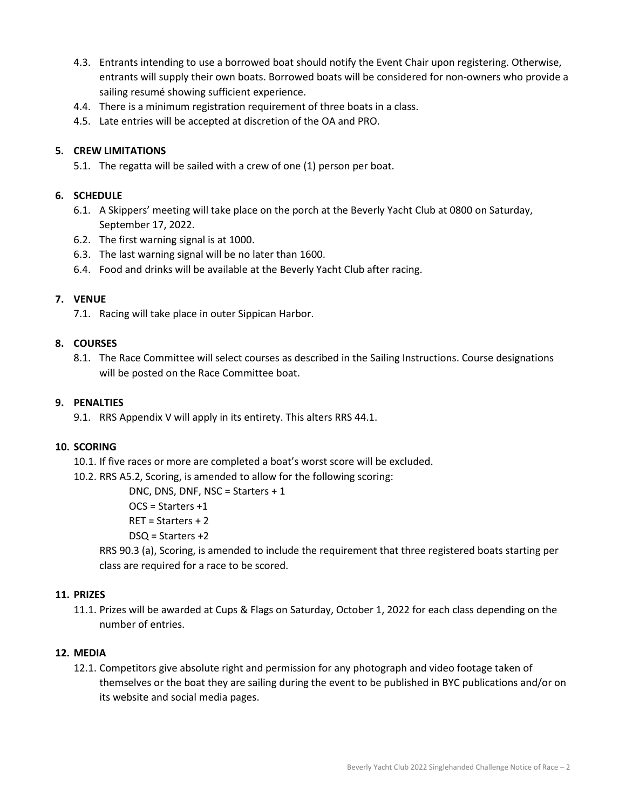- 4.3. Entrants intending to use a borrowed boat should notify the Event Chair upon registering. Otherwise, entrants will supply their own boats. Borrowed boats will be considered for non-owners who provide a sailing resumé showing sufficient experience.
- 4.4. There is a minimum registration requirement of three boats in a class.
- 4.5. Late entries will be accepted at discretion of the OA and PRO.

### **5. CREW LIMITATIONS**

5.1. The regatta will be sailed with a crew of one (1) person per boat.

#### **6. SCHEDULE**

- 6.1. A Skippers' meeting will take place on the porch at the Beverly Yacht Club at 0800 on Saturday, September 17, 2022.
- 6.2. The first warning signal is at 1000.
- 6.3. The last warning signal will be no later than 1600.
- 6.4. Food and drinks will be available at the Beverly Yacht Club after racing.

#### **7. VENUE**

7.1. Racing will take place in outer Sippican Harbor.

#### **8. COURSES**

8.1. The Race Committee will select courses as described in the Sailing Instructions. Course designations will be posted on the Race Committee boat.

#### **9. PENALTIES**

9.1. RRS Appendix V will apply in its entirety. This alters RRS 44.1.

#### **10. SCORING**

- 10.1. If five races or more are completed a boat's worst score will be excluded.
- 10.2. RRS A5.2, Scoring, is amended to allow for the following scoring:

DNC, DNS, DNF, NSC = Starters + 1

- OCS = Starters +1
- RET = Starters + 2
- DSQ = Starters +2

RRS 90.3 (a), Scoring, is amended to include the requirement that three registered boats starting per class are required for a race to be scored.

#### **11. PRIZES**

11.1. Prizes will be awarded at Cups & Flags on Saturday, October 1, 2022 for each class depending on the number of entries.

#### **12. MEDIA**

12.1. Competitors give absolute right and permission for any photograph and video footage taken of themselves or the boat they are sailing during the event to be published in BYC publications and/or on its website and social media pages.